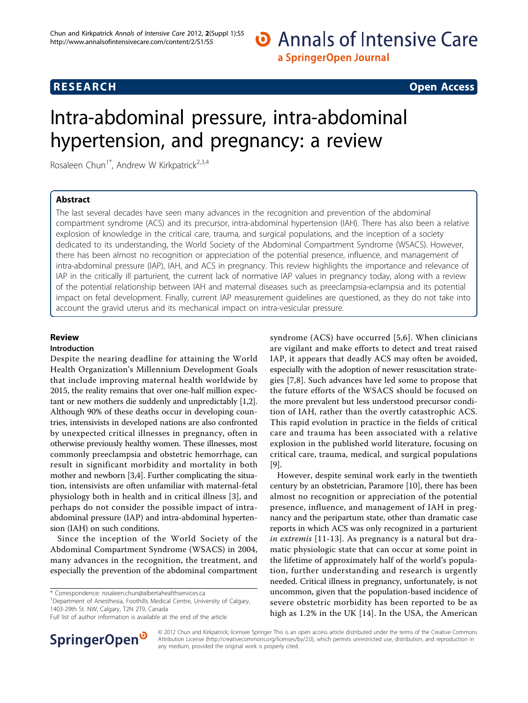O Annals of Intensive Care a SpringerOpen Journal

# **RESEARCH CONSTRUCTION CONSTRUCTS**

# Intra-abdominal pressure, intra-abdominal hypertension, and pregnancy: a review

Rosaleen Chun<sup>1\*</sup>, Andrew W Kirkpatrick<sup>2,3,4</sup>

# Abstract

The last several decades have seen many advances in the recognition and prevention of the abdominal compartment syndrome (ACS) and its precursor, intra-abdominal hypertension (IAH). There has also been a relative explosion of knowledge in the critical care, trauma, and surgical populations, and the inception of a society dedicated to its understanding, the World Society of the Abdominal Compartment Syndrome (WSACS). However, there has been almost no recognition or appreciation of the potential presence, influence, and management of intra-abdominal pressure (IAP), IAH, and ACS in pregnancy. This review highlights the importance and relevance of IAP in the critically ill parturient, the current lack of normative IAP values in pregnancy today, along with a review of the potential relationship between IAH and maternal diseases such as preeclampsia-eclampsia and its potential impact on fetal development. Finally, current IAP measurement guidelines are questioned, as they do not take into account the gravid uterus and its mechanical impact on intra-vesicular pressure.

# Review

# Introduction

Despite the nearing deadline for attaining the World Health Organization's Millennium Development Goals that include improving maternal health worldwide by 2015, the reality remains that over one-half million expectant or new mothers die suddenly and unpredictably [[1,2](#page-5-0)]. Although 90% of these deaths occur in developing countries, intensivists in developed nations are also confronted by unexpected critical illnesses in pregnancy, often in otherwise previously healthy women. These illnesses, most commonly preeclampsia and obstetric hemorrhage, can result in significant morbidity and mortality in both mother and newborn [\[3,4\]](#page-5-0). Further complicating the situation, intensivists are often unfamiliar with maternal-fetal physiology both in health and in critical illness [[3\]](#page-5-0), and perhaps do not consider the possible impact of intraabdominal pressure (IAP) and intra-abdominal hypertension (IAH) on such conditions.

Since the inception of the World Society of the Abdominal Compartment Syndrome (WSACS) in 2004, many advances in the recognition, the treatment, and especially the prevention of the abdominal compartment

\* Correspondence: [rosaleen.chun@albertahealthservices.ca](mailto:rosaleen.chun@albertahealthservices.ca)

<sup>1</sup>Department of Anesthesia, Foothills Medical Centre, University of Calgary, 1403-29th St. NW, Calgary, T2N 2T9, Canada

Full list of author information is available at the end of the article



syndrome (ACS) have occurred [[5](#page-5-0),[6\]](#page-5-0). When clinicians are vigilant and make efforts to detect and treat raised IAP, it appears that deadly ACS may often be avoided, especially with the adoption of newer resuscitation strategies [[7,8](#page-5-0)]. Such advances have led some to propose that the future efforts of the WSACS should be focused on the more prevalent but less understood precursor condition of IAH, rather than the overtly catastrophic ACS. This rapid evolution in practice in the fields of critical care and trauma has been associated with a relative explosion in the published world literature, focusing on critical care, trauma, medical, and surgical populations [[9\]](#page-5-0).

However, despite seminal work early in the twentieth century by an obstetrician, Paramore [\[10](#page-5-0)], there has been almost no recognition or appreciation of the potential presence, influence, and management of IAH in pregnancy and the peripartum state, other than dramatic case reports in which ACS was only recognized in a parturient in extremis [\[11-13\]](#page-5-0). As pregnancy is a natural but dramatic physiologic state that can occur at some point in the lifetime of approximately half of the world's population, further understanding and research is urgently needed. Critical illness in pregnancy, unfortunately, is not uncommon, given that the population-based incidence of severe obstetric morbidity has been reported to be as high as 1.2% in the UK [[14\]](#page-5-0). In the USA, the American

© 2012 Chun and Kirkpatrick; licensee Springer This is an open access article distributed under the terms of the Creative Commons Attribution License [\(http://creativecommons.org/licenses/by/2.0](http://creativecommons.org/licenses/by/2.0)), which permits unrestricted use, distribution, and reproduction in any medium, provided the original work is properly cited.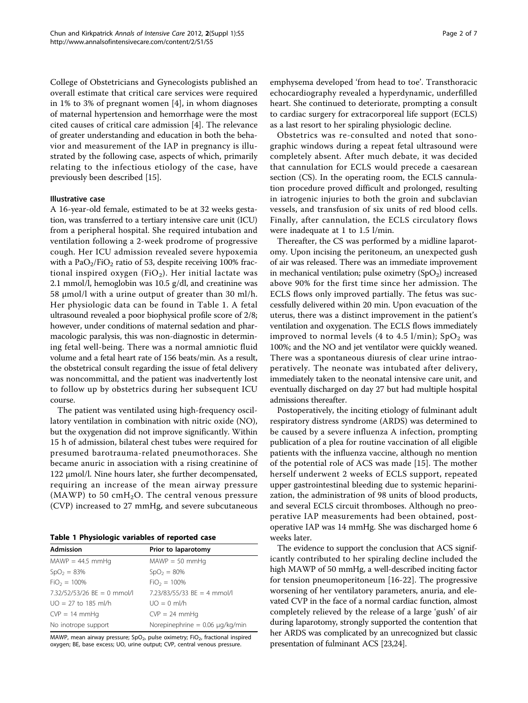<span id="page-1-0"></span>College of Obstetricians and Gynecologists published an overall estimate that critical care services were required in 1% to 3% of pregnant women [[4\]](#page-5-0), in whom diagnoses of maternal hypertension and hemorrhage were the most cited causes of critical care admission [\[4](#page-5-0)]. The relevance of greater understanding and education in both the behavior and measurement of the IAP in pregnancy is illustrated by the following case, aspects of which, primarily relating to the infectious etiology of the case, have previously been described [\[15\]](#page-5-0).

# Illustrative case

A 16-year-old female, estimated to be at 32 weeks gestation, was transferred to a tertiary intensive care unit (ICU) from a peripheral hospital. She required intubation and ventilation following a 2-week prodrome of progressive cough. Her ICU admission revealed severe hypoxemia with a PaO<sub>2</sub>/FiO<sub>2</sub> ratio of 53, despite receiving 100% fractional inspired oxygen (FiO<sub>2</sub>). Her initial lactate was 2.1 mmol/l, hemoglobin was 10.5 g/dl, and creatinine was 58 μmol/l with a urine output of greater than 30 ml/h. Her physiologic data can be found in Table 1. A fetal ultrasound revealed a poor biophysical profile score of 2/8; however, under conditions of maternal sedation and pharmacologic paralysis, this was non-diagnostic in determining fetal well-being. There was a normal amniotic fluid volume and a fetal heart rate of 156 beats/min. As a result, the obstetrical consult regarding the issue of fetal delivery was noncommittal, and the patient was inadvertently lost to follow up by obstetrics during her subsequent ICU course.

The patient was ventilated using high-frequency oscillatory ventilation in combination with nitric oxide (NO), but the oxygenation did not improve significantly. Within 15 h of admission, bilateral chest tubes were required for presumed barotrauma-related pneumothoraces. She became anuric in association with a rising creatinine of 122 μmol/l. Nine hours later, she further decompensated, requiring an increase of the mean airway pressure (MAWP) to 50  $\text{cm}H_2O$ . The central venous pressure (CVP) increased to 27 mmHg, and severe subcutaneous

Table 1 Physiologic variables of reported case

| <b>Admission</b>              | Prior to laparotomy                  |
|-------------------------------|--------------------------------------|
| $MAWP = 44.5$ mmHg            | $MAWP = 50$ mmHg                     |
| $SpO2 = 83%$                  | $SpO2 = 80%$                         |
| $FiO_2 = 100\%$               | $FiO_2 = 100\%$                      |
| $7.32/52/53/26$ BE = 0 mmol/l | $7.23/83/55/33$ BE = 4 mmol/l        |
| $UQ = 27$ to 185 ml/h         | $UO = 0$ ml/h                        |
| $CVP = 14$ mmHq               | $CVP = 24$ mmHq                      |
| No inotrope support           | Norepinephrine = $0.06 \mu q/kg/min$ |

MAWP, mean airway pressure;  $SpO<sub>2</sub>$ , pulse oximetry; FiO<sub>2</sub>, fractional inspired oxygen; BE, base excess; UO, urine output; CVP, central venous pressure.

emphysema developed 'from head to toe'. Transthoracic echocardiography revealed a hyperdynamic, underfilled heart. She continued to deteriorate, prompting a consult to cardiac surgery for extracorporeal life support (ECLS) as a last resort to her spiraling physiologic decline.

Obstetrics was re-consulted and noted that sonographic windows during a repeat fetal ultrasound were completely absent. After much debate, it was decided that cannulation for ECLS would precede a caesarean section (CS). In the operating room, the ECLS cannulation procedure proved difficult and prolonged, resulting in iatrogenic injuries to both the groin and subclavian vessels, and transfusion of six units of red blood cells. Finally, after cannulation, the ECLS circulatory flows were inadequate at 1 to 1.5 l/min.

Thereafter, the CS was performed by a midline laparotomy. Upon incising the peritoneum, an unexpected gush of air was released. There was an immediate improvement in mechanical ventilation; pulse oximetry  $(SpO<sub>2</sub>)$  increased above 90% for the first time since her admission. The ECLS flows only improved partially. The fetus was successfully delivered within 20 min. Upon evacuation of the uterus, there was a distinct improvement in the patient's ventilation and oxygenation. The ECLS flows immediately improved to normal levels (4 to 4.5 l/min);  $SpO<sub>2</sub>$  was 100%; and the NO and jet ventilator were quickly weaned. There was a spontaneous diuresis of clear urine intraoperatively. The neonate was intubated after delivery, immediately taken to the neonatal intensive care unit, and eventually discharged on day 27 but had multiple hospital admissions thereafter.

Postoperatively, the inciting etiology of fulminant adult respiratory distress syndrome (ARDS) was determined to be caused by a severe influenza A infection, prompting publication of a plea for routine vaccination of all eligible patients with the influenza vaccine, although no mention of the potential role of ACS was made [\[15](#page-5-0)]. The mother herself underwent 2 weeks of ECLS support, repeated upper gastrointestinal bleeding due to systemic heparinization, the administration of 98 units of blood products, and several ECLS circuit thromboses. Although no preoperative IAP measurements had been obtained, postoperative IAP was 14 mmHg. She was discharged home 6 weeks later.

The evidence to support the conclusion that ACS significantly contributed to her spiraling decline included the high MAWP of 50 mmHg, a well-described inciting factor for tension pneumoperitoneum [[16-](#page-5-0)[22](#page-6-0)]. The progressive worsening of her ventilatory parameters, anuria, and elevated CVP in the face of a normal cardiac function, almost completely relieved by the release of a large 'gush' of air during laparotomy, strongly supported the contention that her ARDS was complicated by an unrecognized but classic presentation of fulminant ACS [[23,24\]](#page-6-0).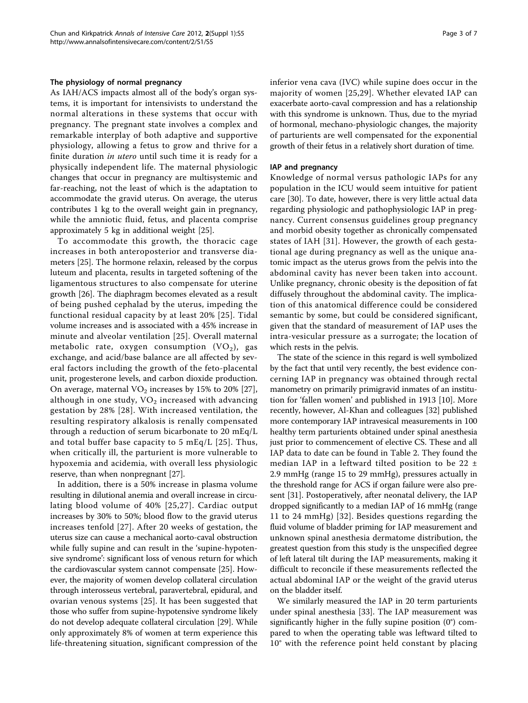#### The physiology of normal pregnancy

As IAH/ACS impacts almost all of the body's organ systems, it is important for intensivists to understand the normal alterations in these systems that occur with pregnancy. The pregnant state involves a complex and remarkable interplay of both adaptive and supportive physiology, allowing a fetus to grow and thrive for a finite duration *in utero* until such time it is ready for a physically independent life. The maternal physiologic changes that occur in pregnancy are multisystemic and far-reaching, not the least of which is the adaptation to accommodate the gravid uterus. On average, the uterus contributes 1 kg to the overall weight gain in pregnancy, while the amniotic fluid, fetus, and placenta comprise approximately 5 kg in additional weight [[25](#page-6-0)].

To accommodate this growth, the thoracic cage increases in both anteroposterior and transverse diameters [\[25\]](#page-6-0). The hormone relaxin, released by the corpus luteum and placenta, results in targeted softening of the ligamentous structures to also compensate for uterine growth [[26](#page-6-0)]. The diaphragm becomes elevated as a result of being pushed cephalad by the uterus, impeding the functional residual capacity by at least 20% [[25](#page-6-0)]. Tidal volume increases and is associated with a 45% increase in minute and alveolar ventilation [[25\]](#page-6-0). Overall maternal metabolic rate, oxygen consumption  $(VO<sub>2</sub>)$ , gas exchange, and acid/base balance are all affected by several factors including the growth of the feto-placental unit, progesterone levels, and carbon dioxide production. On average, maternal  $VO<sub>2</sub>$  increases by 15% to 20% [\[27](#page-6-0)], although in one study,  $VO<sub>2</sub>$  increased with advancing gestation by 28% [\[28\]](#page-6-0). With increased ventilation, the resulting respiratory alkalosis is renally compensated through a reduction of serum bicarbonate to 20 mEq/L and total buffer base capacity to 5 mEq/L [\[25\]](#page-6-0). Thus, when critically ill, the parturient is more vulnerable to hypoxemia and acidemia, with overall less physiologic reserve, than when nonpregnant [[27](#page-6-0)].

In addition, there is a 50% increase in plasma volume resulting in dilutional anemia and overall increase in circulating blood volume of 40% [[25](#page-6-0),[27](#page-6-0)]. Cardiac output increases by 30% to 50%; blood flow to the gravid uterus increases tenfold [\[27\]](#page-6-0). After 20 weeks of gestation, the uterus size can cause a mechanical aorto-caval obstruction while fully supine and can result in the 'supine-hypotensive syndrome': significant loss of venous return for which the cardiovascular system cannot compensate [[25](#page-6-0)]. However, the majority of women develop collateral circulation through interosseus vertebral, paravertebral, epidural, and ovarian venous systems [[25](#page-6-0)]. It has been suggested that those who suffer from supine-hypotensive syndrome likely do not develop adequate collateral circulation [\[29\]](#page-6-0). While only approximately 8% of women at term experience this life-threatening situation, significant compression of the inferior vena cava (IVC) while supine does occur in the majority of women [[25](#page-6-0),[29](#page-6-0)]. Whether elevated IAP can exacerbate aorto-caval compression and has a relationship with this syndrome is unknown. Thus, due to the myriad of hormonal, mechano-physiologic changes, the majority of parturients are well compensated for the exponential growth of their fetus in a relatively short duration of time.

# IAP and pregnancy

Knowledge of normal versus pathologic IAPs for any population in the ICU would seem intuitive for patient care [[30](#page-6-0)]. To date, however, there is very little actual data regarding physiologic and pathophysiologic IAP in pregnancy. Current consensus guidelines group pregnancy and morbid obesity together as chronically compensated states of IAH [[31](#page-6-0)]. However, the growth of each gestational age during pregnancy as well as the unique anatomic impact as the uterus grows from the pelvis into the abdominal cavity has never been taken into account. Unlike pregnancy, chronic obesity is the deposition of fat diffusely throughout the abdominal cavity. The implication of this anatomical difference could be considered semantic by some, but could be considered significant, given that the standard of measurement of IAP uses the intra-vesicular pressure as a surrogate; the location of which rests in the pelvis.

The state of the science in this regard is well symbolized by the fact that until very recently, the best evidence concerning IAP in pregnancy was obtained through rectal manometry on primarily primigravid inmates of an institution for 'fallen women' and published in 1913 [\[10\]](#page-5-0). More recently, however, Al-Khan and colleagues [[32](#page-6-0)] published more contemporary IAP intravesical measurements in 100 healthy term parturients obtained under spinal anesthesia just prior to commencement of elective CS. These and all IAP data to date can be found in Table [2.](#page-3-0) They found the median IAP in a leftward tilted position to be 22 ± 2.9 mmHg (range 15 to 29 mmHg), pressures actually in the threshold range for ACS if organ failure were also present [\[31](#page-6-0)]. Postoperatively, after neonatal delivery, the IAP dropped significantly to a median IAP of 16 mmHg (range 11 to 24 mmHg) [[32](#page-6-0)]. Besides questions regarding the fluid volume of bladder priming for IAP measurement and unknown spinal anesthesia dermatome distribution, the greatest question from this study is the unspecified degree of left lateral tilt during the IAP measurements, making it difficult to reconcile if these measurements reflected the actual abdominal IAP or the weight of the gravid uterus on the bladder itself.

We similarly measured the IAP in 20 term parturients under spinal anesthesia [[33](#page-6-0)]. The IAP measurement was significantly higher in the fully supine position (0°) compared to when the operating table was leftward tilted to 10° with the reference point held constant by placing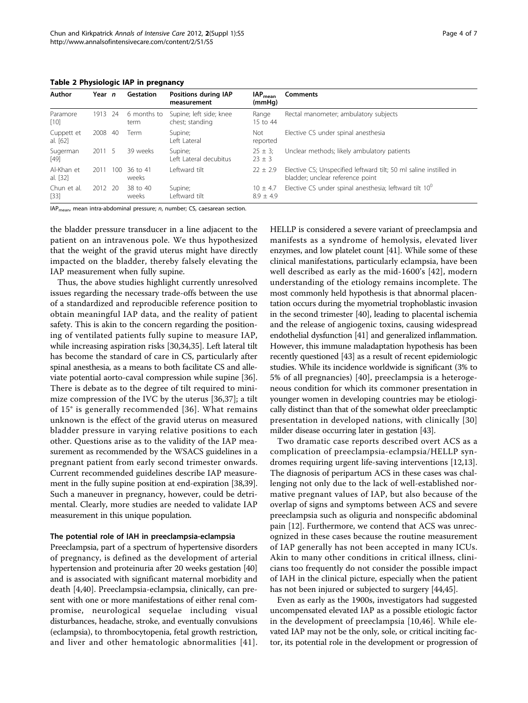<span id="page-3-0"></span>Table 2 Physiologic IAP in pregnancy

| Author                 | Year <i>n</i> |     | Gestation           | Positions during IAP<br>measurement        | $IAP_{mean}$<br>(mmHg)      | <b>Comments</b>                                                                                       |
|------------------------|---------------|-----|---------------------|--------------------------------------------|-----------------------------|-------------------------------------------------------------------------------------------------------|
| Paramore<br>$[10]$     | 1913          | 24  | 6 months to<br>term | Supine; left side; knee<br>chest; standing | Range<br>15 to 44           | Rectal manometer; ambulatory subjects                                                                 |
| Cuppett et<br>al. [62] | 2008          | -40 | Term                | Supine;<br>Left Lateral                    | Not<br>reported             | Elective CS under spinal anesthesia                                                                   |
| Sugerman<br>[49]       | 2011 5        |     | 39 weeks            | Supine;<br>Left Lateral decubitus          | $25 \pm 3$ :<br>$23 \pm 3$  | Unclear methods; likely ambulatory patients                                                           |
| Al-Khan et<br>al. [32] | 201           | 100 | 36 to 41<br>weeks   | I eftward tilt                             | $22 \pm 2.9$                | Elective CS; Unspecified leftward tilt; 50 ml saline instilled in<br>bladder; unclear reference point |
| Chun et al.<br>$[33]$  | 2012          | 20  | 38 to 40<br>weeks   | Supine;<br>I eftward tilt                  | $10 \pm 4.7$<br>$8.9 + 4.9$ | Elective CS under spinal anesthesia; leftward tilt 10 <sup>°</sup>                                    |

 $IAP_{\text{mean}}$ , mean intra-abdominal pressure; n, number; CS, caesarean section.

the bladder pressure transducer in a line adjacent to the patient on an intravenous pole. We thus hypothesized that the weight of the gravid uterus might have directly impacted on the bladder, thereby falsely elevating the IAP measurement when fully supine.

Thus, the above studies highlight currently unresolved issues regarding the necessary trade-offs between the use of a standardized and reproducible reference position to obtain meaningful IAP data, and the reality of patient safety. This is akin to the concern regarding the positioning of ventilated patients fully supine to measure IAP, while increasing aspiration risks [[30,34,35](#page-6-0)]. Left lateral tilt has become the standard of care in CS, particularly after spinal anesthesia, as a means to both facilitate CS and alleviate potential aorto-caval compression while supine [[36](#page-6-0)]. There is debate as to the degree of tilt required to minimize compression of the IVC by the uterus [\[36,37](#page-6-0)]; a tilt of 15° is generally recommended [[36](#page-6-0)]. What remains unknown is the effect of the gravid uterus on measured bladder pressure in varying relative positions to each other. Questions arise as to the validity of the IAP measurement as recommended by the WSACS guidelines in a pregnant patient from early second trimester onwards. Current recommended guidelines describe IAP measurement in the fully supine position at end-expiration [\[38,39](#page-6-0)]. Such a maneuver in pregnancy, however, could be detrimental. Clearly, more studies are needed to validate IAP measurement in this unique population.

## The potential role of IAH in preeclampsia-eclampsia

Preeclampsia, part of a spectrum of hypertensive disorders of pregnancy, is defined as the development of arterial hypertension and proteinuria after 20 weeks gestation [[40](#page-6-0)] and is associated with significant maternal morbidity and death [[4,](#page-5-0)[40\]](#page-6-0). Preeclampsia-eclampsia, clinically, can present with one or more manifestations of either renal compromise, neurological sequelae including visual disturbances, headache, stroke, and eventually convulsions (eclampsia), to thrombocytopenia, fetal growth restriction, and liver and other hematologic abnormalities [[41\]](#page-6-0). HELLP is considered a severe variant of preeclampsia and manifests as a syndrome of hemolysis, elevated liver enzymes, and low platelet count [[41\]](#page-6-0). While some of these clinical manifestations, particularly eclampsia, have been well described as early as the mid-1600's [\[42\]](#page-6-0), modern understanding of the etiology remains incomplete. The most commonly held hypothesis is that abnormal placentation occurs during the myometrial trophoblastic invasion in the second trimester [\[40](#page-6-0)], leading to placental ischemia and the release of angiogenic toxins, causing widespread endothelial dysfunction [\[41\]](#page-6-0) and generalized inflammation. However, this immune maladaptation hypothesis has been recently questioned [[43](#page-6-0)] as a result of recent epidemiologic studies. While its incidence worldwide is significant (3% to 5% of all pregnancies) [\[40](#page-6-0)], preeclampsia is a heterogeneous condition for which its commoner presentation in younger women in developing countries may be etiologically distinct than that of the somewhat older preeclamptic presentation in developed nations, with clinically [[30](#page-6-0)] milder disease occurring later in gestation [[43](#page-6-0)].

Two dramatic case reports described overt ACS as a complication of preeclampsia-eclampsia/HELLP syndromes requiring urgent life-saving interventions [\[12,13](#page-5-0)]. The diagnosis of peripartum ACS in these cases was challenging not only due to the lack of well-established normative pregnant values of IAP, but also because of the overlap of signs and symptoms between ACS and severe preeclampsia such as oliguria and nonspecific abdominal pain [\[12](#page-5-0)]. Furthermore, we contend that ACS was unrecognized in these cases because the routine measurement of IAP generally has not been accepted in many ICUs. Akin to many other conditions in critical illness, clinicians too frequently do not consider the possible impact of IAH in the clinical picture, especially when the patient has not been injured or subjected to surgery [[44](#page-6-0),[45](#page-6-0)].

Even as early as the 1900s, investigators had suggested uncompensated elevated IAP as a possible etiologic factor in the development of preeclampsia [[10](#page-5-0),[46\]](#page-6-0). While elevated IAP may not be the only, sole, or critical inciting factor, its potential role in the development or progression of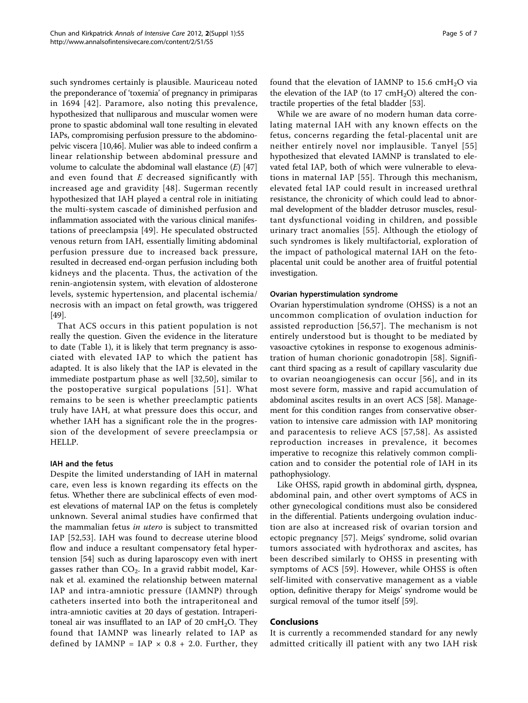such syndromes certainly is plausible. Mauriceau noted the preponderance of 'toxemia' of pregnancy in primiparas in 1694 [[42\]](#page-6-0). Paramore, also noting this prevalence, hypothesized that nulliparous and muscular women were prone to spastic abdominal wall tone resulting in elevated IAPs, compromising perfusion pressure to the abdominopelvic viscera [[10](#page-5-0)[,46](#page-6-0)]. Mulier was able to indeed confirm a linear relationship between abdominal pressure and volume to calculate the abdominal wall elastance  $(E)$  [[47](#page-6-0)] and even found that  $E$  decreased significantly with increased age and gravidity [[48\]](#page-6-0). Sugerman recently hypothesized that IAH played a central role in initiating the multi-system cascade of diminished perfusion and inflammation associated with the various clinical manifestations of preeclampsia [[49\]](#page-6-0). He speculated obstructed venous return from IAH, essentially limiting abdominal perfusion pressure due to increased back pressure, resulted in decreased end-organ perfusion including both kidneys and the placenta. Thus, the activation of the renin-angiotensin system, with elevation of aldosterone levels, systemic hypertension, and placental ischemia/ necrosis with an impact on fetal growth, was triggered [[49](#page-6-0)].

That ACS occurs in this patient population is not really the question. Given the evidence in the literature to date (Table [1\)](#page-1-0), it is likely that term pregnancy is associated with elevated IAP to which the patient has adapted. It is also likely that the IAP is elevated in the immediate postpartum phase as well [[32,50](#page-6-0)], similar to the postoperative surgical populations [[51\]](#page-6-0). What remains to be seen is whether preeclamptic patients truly have IAH, at what pressure does this occur, and whether IAH has a significant role the in the progression of the development of severe preeclampsia or HELLP.

# IAH and the fetus

Despite the limited understanding of IAH in maternal care, even less is known regarding its effects on the fetus. Whether there are subclinical effects of even modest elevations of maternal IAP on the fetus is completely unknown. Several animal studies have confirmed that the mammalian fetus in utero is subject to transmitted IAP [[52,53\]](#page-6-0). IAH was found to decrease uterine blood flow and induce a resultant compensatory fetal hypertension [[54\]](#page-6-0) such as during laparoscopy even with inert gasses rather than  $CO<sub>2</sub>$ . In a gravid rabbit model, Karnak et al. examined the relationship between maternal IAP and intra-amniotic pressure (IAMNP) through catheters inserted into both the intraperitoneal and intra-amniotic cavities at 20 days of gestation. Intraperitoneal air was insufflated to an IAP of 20  $\text{cm}H_2\text{O}$ . They found that IAMNP was linearly related to IAP as defined by IAMNP = IAP  $\times$  0.8 + 2.0. Further, they found that the elevation of IAMNP to 15.6 cmH<sub>2</sub>O via the elevation of the IAP (to 17 cmH<sub>2</sub>O) altered the contractile properties of the fetal bladder [[53\]](#page-6-0).

While we are aware of no modern human data correlating maternal IAH with any known effects on the fetus, concerns regarding the fetal-placental unit are neither entirely novel nor implausible. Tanyel [[55](#page-6-0)] hypothesized that elevated IAMNP is translated to elevated fetal IAP, both of which were vulnerable to elevations in maternal IAP [[55](#page-6-0)]. Through this mechanism, elevated fetal IAP could result in increased urethral resistance, the chronicity of which could lead to abnormal development of the bladder detrusor muscles, resultant dysfunctional voiding in children, and possible urinary tract anomalies [[55\]](#page-6-0). Although the etiology of such syndromes is likely multifactorial, exploration of the impact of pathological maternal IAH on the fetoplacental unit could be another area of fruitful potential investigation.

# Ovarian hyperstimulation syndrome

Ovarian hyperstimulation syndrome (OHSS) is a not an uncommon complication of ovulation induction for assisted reproduction [\[56,57\]](#page-6-0). The mechanism is not entirely understood but is thought to be mediated by vasoactive cytokines in response to exogenous administration of human chorionic gonadotropin [[58\]](#page-6-0). Significant third spacing as a result of capillary vascularity due to ovarian neoangiogenesis can occur [[56](#page-6-0)], and in its most severe form, massive and rapid accumulation of abdominal ascites results in an overt ACS [\[58\]](#page-6-0). Management for this condition ranges from conservative observation to intensive care admission with IAP monitoring and paracentesis to relieve ACS [[57](#page-6-0),[58\]](#page-6-0). As assisted reproduction increases in prevalence, it becomes imperative to recognize this relatively common complication and to consider the potential role of IAH in its pathophysiology.

Like OHSS, rapid growth in abdominal girth, dyspnea, abdominal pain, and other overt symptoms of ACS in other gynecological conditions must also be considered in the differential. Patients undergoing ovulation induction are also at increased risk of ovarian torsion and ectopic pregnancy [[57](#page-6-0)]. Meigs' syndrome, solid ovarian tumors associated with hydrothorax and ascites, has been described similarly to OHSS in presenting with symptoms of ACS [[59\]](#page-6-0). However, while OHSS is often self-limited with conservative management as a viable option, definitive therapy for Meigs' syndrome would be surgical removal of the tumor itself [[59](#page-6-0)].

## Conclusions

It is currently a recommended standard for any newly admitted critically ill patient with any two IAH risk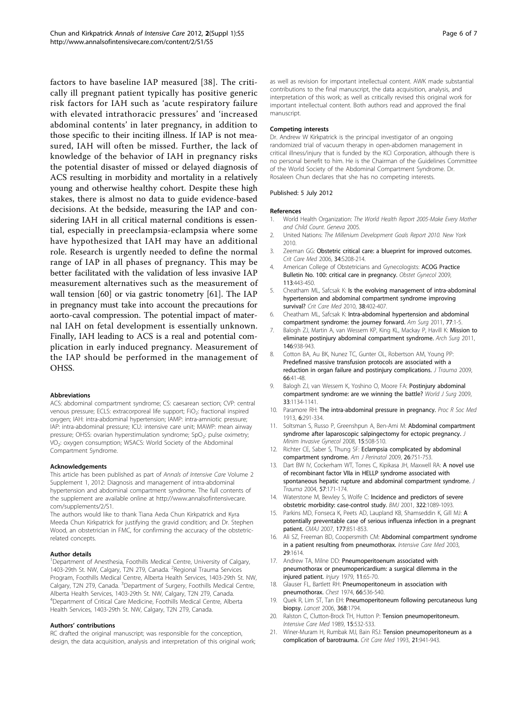<span id="page-5-0"></span>factors to have baseline IAP measured [[38\]](#page-6-0). The critically ill pregnant patient typically has positive generic risk factors for IAH such as 'acute respiratory failure with elevated intrathoracic pressures' and 'increased abdominal contents' in later pregnancy, in addition to those specific to their inciting illness. If IAP is not measured, IAH will often be missed. Further, the lack of knowledge of the behavior of IAH in pregnancy risks the potential disaster of missed or delayed diagnosis of ACS resulting in morbidity and mortality in a relatively young and otherwise healthy cohort. Despite these high stakes, there is almost no data to guide evidence-based decisions. At the bedside, measuring the IAP and considering IAH in all critical maternal conditions is essential, especially in preeclampsia-eclampsia where some have hypothesized that IAH may have an additional role. Research is urgently needed to define the normal range of IAP in all phases of pregnancy. This may be better facilitated with the validation of less invasive IAP measurement alternatives such as the measurement of wall tension [\[60](#page-6-0)] or via gastric tonometry [\[61](#page-6-0)]. The IAP in pregnancy must take into account the precautions for aorto-caval compression. The potential impact of maternal IAH on fetal development is essentially unknown. Finally, IAH leading to ACS is a real and potential complication in early induced pregnancy. Measurement of the IAP should be performed in the management of OHSS.

#### Abbreviations

ACS: abdominal compartment syndrome; CS: caesarean section; CVP: central venous pressure; ECLS: extracorporeal life support; FiO<sub>2</sub>: fractional inspired oxygen; IAH: intra-abdominal hypertension; IAMP: intra-amniotic pressure; IAP: intra-abdominal pressure; ICU: intensive care unit; MAWP: mean airway pressure; OHSS: ovarian hyperstimulation syndrome; SpO<sub>2</sub>: pulse oximetry; VO2: oxygen consumption; WSACS: World Society of the Abdominal Compartment Syndrome.

#### Acknowledgements

This article has been published as part of Annals of Intensive Care Volume 2 Supplement 1, 2012: Diagnosis and management of intra-abdominal hypertension and abdominal compartment syndrome. The full contents of the supplement are available online at [http://www.annalsofintensivecare.](http://www.annalsofintensivecare.com/supplements/2/S1) [com/supplements/2/S1.](http://www.annalsofintensivecare.com/supplements/2/S1)

The authors would like to thank Tiana Aeda Chun Kirkpatrick and Kyra Meeda Chun Kirkpatrick for justifying the gravid condition; and Dr. Stephen Wood, an obstetrician in FMC, for confirming the accuracy of the obstetricrelated concepts.

#### Author details

<sup>1</sup>Department of Anesthesia, Foothills Medical Centre, University of Calgary, 1403-29th St. NW, Calgary, T2N 2T9, Canada. <sup>2</sup>Regional Trauma Services Program, Foothills Medical Centre, Alberta Health Services, 1403-29th St. NW, Calgary, T2N 2T9, Canada. <sup>3</sup>Department of Surgery, Foothills Medical Centre, Alberta Health Services, 1403-29th St. NW, Calgary, T2N 2T9, Canada. 4 Department of Critical Care Medicine, Foothills Medical Centre, Alberta Health Services, 1403-29th St. NW, Calgary, T2N 2T9, Canada.

#### Authors' contributions

RC drafted the original manuscript; was responsible for the conception, design, the data acquisition, analysis and interpretation of this original work; as well as revision for important intellectual content. AWK made substantial contributions to the final manuscript, the data acquisition, analysis, and interpretation of this work; as well as critically revised this original work for important intellectual content. Both authors read and approved the final manuscript.

#### Competing interests

Dr. Andrew W Kirkpatrick is the principal investigator of an ongoing randomized trial of vacuum therapy in open-abdomen management in critical illness/injury that is funded by the KCI Corporation, although there is no personal benefit to him. He is the Chairman of the Guidelines Committee of the World Society of the Abdominal Compartment Syndrome. Dr. Rosaleen Chun declares that she has no competing interests.

#### Published: 5 July 2012

#### References

- 1. World Health Organization: The World Health Report 2005-Make Every Mother and Child Count. Geneva 2005.
- 2. United Nations: The Millenium Development Goals Report 2010. New York 2010.
- 3. Zeeman GG: [Obstetric critical care: a blueprint for improved outcomes.](http://www.ncbi.nlm.nih.gov/pubmed/16917425?dopt=Abstract) Crit Care Med 2006, 34:S208-214.
- 4. American College of Obstetricians and Gynecologists: [ACOG Practice](http://www.ncbi.nlm.nih.gov/pubmed/19155919?dopt=Abstract) [Bulletin No. 100: critical care in pregnancy.](http://www.ncbi.nlm.nih.gov/pubmed/19155919?dopt=Abstract) Obstet Gynecol 2009, 113:443-450.
- 5. Cheatham ML, Safcsak K: [Is the evolving management of intra-abdominal](http://www.ncbi.nlm.nih.gov/pubmed/20095067?dopt=Abstract) [hypertension and abdominal compartment syndrome improving](http://www.ncbi.nlm.nih.gov/pubmed/20095067?dopt=Abstract) [survival?](http://www.ncbi.nlm.nih.gov/pubmed/20095067?dopt=Abstract) Crit Care Med 2010, 38:402-407.
- 6. Cheatham ML, Safcsak K: [Intra-abdominal hypertension and abdominal](http://www.ncbi.nlm.nih.gov/pubmed/21396287?dopt=Abstract) [compartment syndrome: the journey forward.](http://www.ncbi.nlm.nih.gov/pubmed/21396287?dopt=Abstract) Am Surg 2011, 77:1-5.
- 7. Balogh ZJ, Martin A, van Wessem KP, King KL, Mackay P, Havill K: [Mission to](http://www.ncbi.nlm.nih.gov/pubmed/21502442?dopt=Abstract) [eliminate postinjury abdominal compartment syndrome.](http://www.ncbi.nlm.nih.gov/pubmed/21502442?dopt=Abstract) Arch Surg 2011, 146:938-943.
- 8. Cotton BA, Au BK, Nunez TC, Gunter OL, Robertson AM, Young PP: [Predefined massive transfusion protocols are associated with a](http://www.ncbi.nlm.nih.gov/pubmed/19131804?dopt=Abstract) [reduction in organ failure and postinjury complications.](http://www.ncbi.nlm.nih.gov/pubmed/19131804?dopt=Abstract) J Trauma 2009, 66:41-48.
- 9. Balogh ZJ, van Wessem K, Yoshino O, Moore FA: [Postinjury abdominal](http://www.ncbi.nlm.nih.gov/pubmed/19343417?dopt=Abstract) [compartment syndrome: are we winning the battle?](http://www.ncbi.nlm.nih.gov/pubmed/19343417?dopt=Abstract) World J Sura 2009, 33:1134-1141.
- 10. Paramore RH: [The intra-abdominal pressure in pregnancy.](http://www.ncbi.nlm.nih.gov/pubmed/20901181?dopt=Abstract) Proc R Soc Med 1913, 6:291-334.
- 11. Soltsman S, Russo P, Greenshpun A, Ben-Ami M: [Abdominal compartment](http://www.ncbi.nlm.nih.gov/pubmed/18602054?dopt=Abstract) [syndrome after laparoscopic salpingectomy for ectopic pregnancy.](http://www.ncbi.nlm.nih.gov/pubmed/18602054?dopt=Abstract) J Minim Invasive Gynecol 2008, 15:508-510.
- 12. Richter CE, Saber S, Thung SF: [Eclampsia complicated by abdominal](http://www.ncbi.nlm.nih.gov/pubmed/19444766?dopt=Abstract) [compartment syndrome.](http://www.ncbi.nlm.nih.gov/pubmed/19444766?dopt=Abstract) Am J Perinatol 2009, 26:751-753.
- 13. Dart BW IV, Cockerham WT, Torres C, Kipikasa JH, Maxwell RA: [A novel use](http://www.ncbi.nlm.nih.gov/pubmed/15284569?dopt=Abstract) [of recombinant factor VIIa in HELLP syndrome associated with](http://www.ncbi.nlm.nih.gov/pubmed/15284569?dopt=Abstract) [spontaneous hepatic rupture and abdominal compartment syndrome.](http://www.ncbi.nlm.nih.gov/pubmed/15284569?dopt=Abstract) J Trauma 2004, 57:171-174.
- 14. Waterstone M, Bewley S, Wolfe C: [Incidence and predictors of severe](http://www.ncbi.nlm.nih.gov/pubmed/11337436?dopt=Abstract) [obstetric morbidity: case-control study.](http://www.ncbi.nlm.nih.gov/pubmed/11337436?dopt=Abstract) BMJ 2001, 322:1089-1093.
- 15. Parkins MD, Fonseca K, Peets AD, Laupland KB, Shamseddin K, Gill MJ: [A](http://www.ncbi.nlm.nih.gov/pubmed/17923651?dopt=Abstract) [potentially preventable case of serious influenza infection in a pregnant](http://www.ncbi.nlm.nih.gov/pubmed/17923651?dopt=Abstract) [patient.](http://www.ncbi.nlm.nih.gov/pubmed/17923651?dopt=Abstract) CMAJ 2007, 177:851-853.
- 16. Ali SZ, Freeman BD, Coopersmith CM: [Abdominal compartment syndrome](http://www.ncbi.nlm.nih.gov/pubmed/12879231?dopt=Abstract) [in a patient resulting from pneumothorax.](http://www.ncbi.nlm.nih.gov/pubmed/12879231?dopt=Abstract) Intensive Care Med 2003, 29:1614.
- 17. Andrew TA, Milne DD: [Pneumoperitoenum associated with](http://www.ncbi.nlm.nih.gov/pubmed/521144?dopt=Abstract) [pneumothorax or pneumopericardium: a surgical dilemma in the](http://www.ncbi.nlm.nih.gov/pubmed/521144?dopt=Abstract) [injured patient.](http://www.ncbi.nlm.nih.gov/pubmed/521144?dopt=Abstract) Injury 1979, 11:65-70.
- 18. Glauser FL, Bartlett RH: [Pneumoperitoneum in association with](http://www.ncbi.nlm.nih.gov/pubmed/4279163?dopt=Abstract) [pneumothorax.](http://www.ncbi.nlm.nih.gov/pubmed/4279163?dopt=Abstract) Chest 1974, 66:536-540.
- 19. Quek R, Lim ST, Tan EH: [Pneumoperitoneum following percutaneous lung](http://www.ncbi.nlm.nih.gov/pubmed/17113429?dopt=Abstract) [biopsy.](http://www.ncbi.nlm.nih.gov/pubmed/17113429?dopt=Abstract) Lancet 2006, 368:1794.
- 20. Ralston C, Clutton-Brock TH, Hutton P: [Tension pneumoperitoneum.](http://www.ncbi.nlm.nih.gov/pubmed/2607041?dopt=Abstract) Intensive Care Med 1989, 15:532-533.
- 21. Winer-Muram H, Rumbak MJ, Bain RSJ: [Tension pneumoperitoneum as a](http://www.ncbi.nlm.nih.gov/pubmed/8504664?dopt=Abstract) [complication of barotrauma.](http://www.ncbi.nlm.nih.gov/pubmed/8504664?dopt=Abstract) Crit Care Med 1993, 21:941-943.